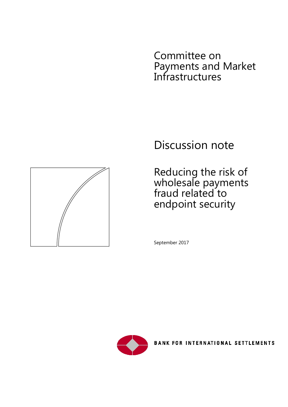Committee on Payments and Market Infrastructures



Reducing the risk of wholesale payments fraud related to endpoint security

September 2017



**BANK FOR INTERNATIONAL SETTLEMENTS** 

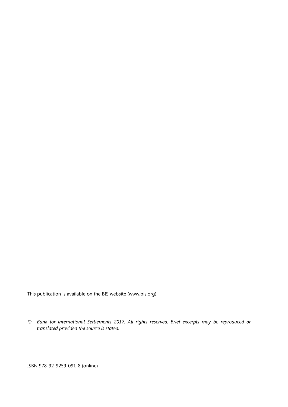This publication is available on the BIS website [\(www.bis.org\)](http://www.bis.org/).

*© Bank for International Settlements 2017. All rights reserved. Brief excerpts may be reproduced or translated provided the source is stated.*

ISBN 978-92-9259-091-8 (online)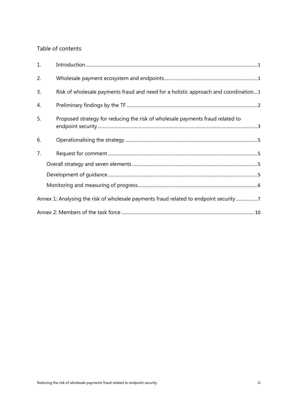### Table of contents

| 1. |                                                                                        |
|----|----------------------------------------------------------------------------------------|
| 2. |                                                                                        |
| 3. | Risk of wholesale payments fraud and need for a holistic approach and coordination1    |
| 4. |                                                                                        |
| 5. | Proposed strategy for reducing the risk of wholesale payments fraud related to         |
| 6. |                                                                                        |
| 7. |                                                                                        |
|    |                                                                                        |
|    |                                                                                        |
|    |                                                                                        |
|    | Annex 1: Analysing the risk of wholesale payments fraud related to endpoint security 7 |
|    |                                                                                        |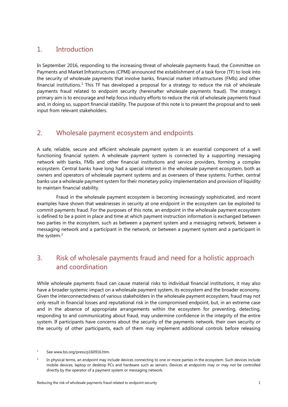### <span id="page-4-0"></span>1. Introduction

In September 2016, responding to the increasing threat of wholesale payments fraud, the Committee on Payments and Market Infrastructures (CPMI) announced the establishment of a task force (TF) to look into the security of wholesale payments that involve banks, financial market infrastructures (FMIs) and other financial institutions.<sup>[1](#page-4-3)</sup> This TF has developed a proposal for a strategy to reduce the risk of wholesale payments fraud related to endpoint security (hereinafter wholesale payments fraud). The strategy's primary aim is to encourage and help focus industry efforts to reduce the risk of wholesale payments fraud and, in doing so, support financial stability. The purpose of this note is to present the proposal and to seek input from relevant stakeholders.

### <span id="page-4-1"></span>2. Wholesale payment ecosystem and endpoints

A safe, reliable, secure and efficient wholesale payment system is an essential component of a well functioning financial system. A wholesale payment system is connected by a supporting messaging network with banks, FMIs and other financial institutions and service providers, forming a complex ecosystem. Central banks have long had a special interest in the wholesale payment ecosystem, both as owners and operators of wholesale payment systems and as overseers of these systems. Further, central banks use a wholesale payment system for their monetary policy implementation and provision of liquidity to maintain financial stability.

Fraud in the wholesale payment ecosystem is becoming increasingly sophisticated, and recent examples have shown that weaknesses in security at one endpoint in the ecosystem can be exploited to commit payments fraud. For the purposes of this note, an endpoint in the wholesale payment ecosystem is defined to be a point in place and time at which payment instruction information is exchanged between two parties in the ecosystem, such as between a payment system and a messaging network, between a messaging network and a participant in the network, or between a payment system and a participant in the system.<sup>[2](#page-4-4)</sup>

# <span id="page-4-2"></span>3. Risk of wholesale payments fraud and need for a holistic approach and coordination

While wholesale payments fraud can cause material risks to individual financial institutions, it may also have a broader systemic impact on a wholesale payment system, its ecosystem and the broader economy. Given the interconnectedness of various stakeholders in the wholesale payment ecosystem, fraud may not only result in financial losses and reputational risk in the compromised endpoint, but, in an extreme case and in the absence of appropriate arrangements within the ecosystem for preventing, detecting, responding to and communicating about fraud, may undermine confidence in the integrity of the entire system. If participants have concerns about the security of the payments network, their own security or the security of other participants, each of them may implement additional controls before releasing

<span id="page-4-3"></span><sup>&</sup>lt;sup>1</sup> Se[e www.bis.org/press/p160916.htm.](http://www.bis.org/press/p160916.htm)

<span id="page-4-4"></span><sup>&</sup>lt;sup>2</sup> In physical terms, an endpoint may include devices connecting to one or more parties in the ecosystem. Such devices include mobile devices, laptop or desktop PCs and hardware such as servers. Devices at endpoints may or may not be controlled directly by the operator of a payment system or messaging network.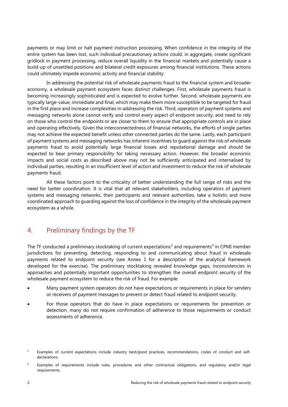payments or may limit or halt payment instruction processing. When confidence in the integrity of the entire system has been lost, such individual precautionary actions could, in aggregate, create significant gridlock in payment processing, reduce overall liquidity in the financial markets and potentially cause a build-up of unsettled positions and bilateral credit exposures among financial institutions. These actions could ultimately impede economic activity and financial stability.

In addressing the potential risk of wholesale payments fraud to the financial system and broader economy, a wholesale payment ecosystem faces distinct challenges. First, wholesale payments fraud is becoming increasingly sophisticated and is expected to evolve further. Second, wholesale payments are typically large-value, immediate and final, which may make them more susceptible to be targeted for fraud in the first place and increase complexities in addressing the risk. Third, operators of payment systems and messaging networks alone cannot verify and control every aspect of endpoint security, and need to rely on those who control the endpoints or are closer to them to ensure that appropriate controls are in place and operating effectively. Given the interconnectedness of financial networks, the efforts of single parties may not achieve the expected benefit unless other connected parties do the same. Lastly, each participant of payment systems and messaging networks has inherent incentives to guard against the risk of wholesale payments fraud to avoid potentially large financial losses and reputational damage and should be expected to bear primary responsibility for taking necessary action. However, the broader economic impacts and social costs as described above may not be sufficiently anticipated and internalised by individual parties, resulting in an insufficient level of action and investment to reduce the risk of wholesale payments fraud.

All these factors point to the criticality of better understanding the full range of risks and the need for better coordination. It is vital that all relevant stakeholders, including operators of payment systems and messaging networks, their participants and relevant authorities, take a holistic and more coordinated approach to guarding against the loss of confidence in the integrity of the wholesale payment ecosystem as a whole.

## <span id="page-5-0"></span>4. Preliminary findings by the TF

The TF conducted a preliminary stocktaking of current expectations<sup>[3](#page-5-1)</sup> and requirements<sup>[4](#page-5-2)</sup> in CPMI member jurisdictions for preventing, detecting, responding to and communicating about fraud in wholesale payments related to endpoint security (see Annex 1 for a description of the analytical framework developed for the exercise). The preliminary stocktaking revealed knowledge gaps, inconsistencies in approaches and potentially important opportunities to strengthen the overall endpoint security of the wholesale payment ecosystem to reduce the risk of fraud. For example:

- Many payment system operators do not have expectations or requirements in place for senders or receivers of payment messages to prevent or detect fraud related to endpoint security.
- For those operators that do have in place expectations or requirements for prevention or detection, many do not require confirmation of adherence to those requirements or conduct assessments of adherence.

<span id="page-5-1"></span><sup>&</sup>lt;sup>3</sup> Examples of current expectations include industry best/good practices, recommendations, codes of conduct and selfdeclarations.

<span id="page-5-2"></span><sup>4</sup> Examples of requirements include rules, procedures and other contractual obligations, and regulatory and/or legal requirements.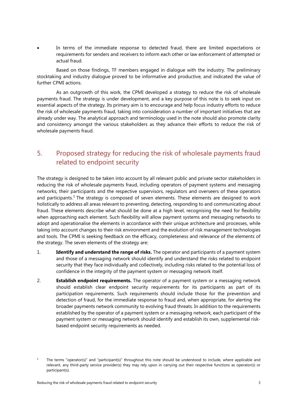In terms of the immediate response to detected fraud, there are limited expectations or requirements for senders and receivers to inform each other or law enforcement of attempted or actual fraud.

Based on those findings, TF members engaged in dialogue with the industry. The preliminary stocktaking and industry dialogue proved to be informative and productive, and indicated the value of further CPMI actions.

As an outgrowth of this work, the CPMI developed a strategy to reduce the risk of wholesale payments fraud. The strategy is under development, and a key purpose of this note is to seek input on essential aspects of the strategy. Its primary aim is to encourage and help focus industry efforts to reduce the risk of wholesale payments fraud, taking into consideration a number of important initiatives that are already under way. The analytical approach and terminology used in the note should also promote clarity and consistency amongst the various stakeholders as they advance their efforts to reduce the risk of wholesale payments fraud.

# <span id="page-6-0"></span>5. Proposed strategy for reducing the risk of wholesale payments fraud related to endpoint security

The strategy is designed to be taken into account by all relevant public and private sector stakeholders in reducing the risk of wholesale payments fraud, including operators of payment systems and messaging networks, their participants and the respective supervisors, regulators and overseers of these operators and participants.<sup>[5](#page-6-1)</sup> The strategy is composed of seven elements. These elements are designed to work holistically to address all areas relevant to preventing, detecting, responding to and communicating about fraud. These elements describe what should be done at a high level, recognising the need for flexibility when approaching each element. Such flexibility will allow payment systems and messaging networks to adopt and operationalise the elements in accordance with their unique architecture and processes, while taking into account changes to their risk environment and the evolution of risk management technologies and tools. The CPMI is seeking feedback on the efficacy, completeness and relevance of the elements of the strategy. The seven elements of the strategy are:

- 1. **Identify and understand the range of risks.** The operator and participants of a payment system and those of a messaging network should identify and understand the risks related to endpoint security that they face individually and collectively, including risks related to the potential loss of confidence in the integrity of the payment system or messaging network itself.
- 2. **Establish endpoint requirements.** The operator of a payment system or a messaging network should establish clear endpoint security requirements for its participants as part of its participation requirements. Such requirements should include those for the prevention and detection of fraud, for the immediate response to fraud and, when appropriate, for alerting the broader payments network community to evolving fraud threats. In addition to the requirements established by the operator of a payment system or a messaging network, each participant of the payment system or messaging network should identify and establish its own, supplemental riskbased endpoint security requirements as needed.

<span id="page-6-1"></span><sup>&</sup>lt;sup>5</sup> The terms "operator(s)" and "participant(s)" throughout this note should be understood to include, where applicable and relevant, any third-party service provider(s) they may rely upon in carrying out their respective functions as operator(s) or participant(s).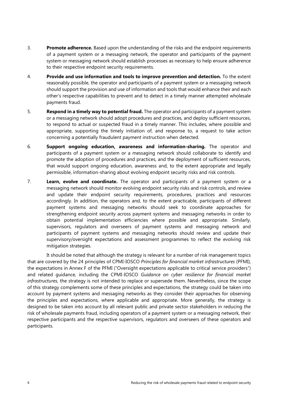- 3. **Promote adherence.** Based upon the understanding of the risks and the endpoint requirements of a payment system or a messaging network, the operator and participants of the payment system or messaging network should establish processes as necessary to help ensure adherence to their respective endpoint security requirements.
- 4. **Provide and use information and tools to improve prevention and detection.** To the extent reasonably possible, the operator and participants of a payment system or a messaging network should support the provision and use of information and tools that would enhance their and each other's respective capabilities to prevent and to detect in a timely manner attempted wholesale payments fraud.
- 5. **Respond in a timely way to potential fraud.** The operator and participants of a payment system or a messaging network should adopt procedures and practices, and deploy sufficient resources, to respond to actual or suspected fraud in a timely manner. This includes, where possible and appropriate, supporting the timely initiation of, and response to, a request to take action concerning a potentially fraudulent payment instruction when detected.
- 6. **Support ongoing education, awareness and information-sharing.** The operator and participants of a payment system or a messaging network should collaborate to identify and promote the adoption of procedures and practices, and the deployment of sufficient resources, that would support ongoing education, awareness and, to the extent appropriate and legally permissible, information-sharing about evolving endpoint security risks and risk controls.
- 7. **Learn, evolve and coordinate.** The operator and participants of a payment system or a messaging network should monitor evolving endpoint security risks and risk controls, and review and update their endpoint security requirements, procedures, practices and resources accordingly. In addition, the operators and, to the extent practicable, participants of different payment systems and messaging networks should seek to coordinate approaches for strengthening endpoint security across payment systems and messaging networks in order to obtain potential implementation efficiencies where possible and appropriate. Similarly, supervisors, regulators and overseers of payment systems and messaging network and participants of payment systems and messaging networks should review and update their supervisory/oversight expectations and assessment programmes to reflect the evolving risk mitigation strategies.

It should be noted that although the strategy is relevant for a number of risk management topics that are covered by the 24 principles of CPMI-IOSCO *Principles for financial market infrastructures* (PFMI), the expectations in Annex F of the PFMI ("Oversight expectations applicable to critical service providers") and related guidance, including the CPMI-IOSCO *Guidance on cyber resilience for financial market infrastructures,* the strategy is not intended to replace or supersede them. Nevertheless, since the scope of this strategy complements some of these principles and expectations, the strategy could be taken into account by payment systems and messaging networks as they consider their approaches for observing the principles and expectations, where applicable and appropriate. More generally, the strategy is designed to be taken into account by all relevant public and private sector stakeholders in reducing the risk of wholesale payments fraud, including operators of a payment system or a messaging network, their respective participants and the respective supervisors, regulators and overseers of these operators and participants.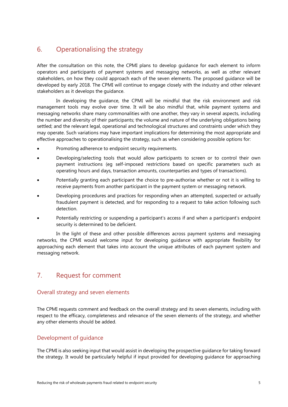## <span id="page-8-0"></span>6. Operationalising the strategy

After the consultation on this note, the CPMI plans to develop guidance for each element to inform operators and participants of payment systems and messaging networks, as well as other relevant stakeholders, on how they could approach each of the seven elements. The proposed guidance will be developed by early 2018. The CPMI will continue to engage closely with the industry and other relevant stakeholders as it develops the guidance.

In developing the guidance, the CPMI will be mindful that the risk environment and risk management tools may evolve over time. It will be also mindful that, while payment systems and messaging networks share many commonalities with one another, they vary in several aspects, including the number and diversity of their participants; the volume and nature of the underlying obligations being settled; and the relevant legal, operational and technological structures and constraints under which they may operate. Such variations may have important implications for determining the most appropriate and effective approaches to operationalising the strategy, such as when considering possible options for:

- Promoting adherence to endpoint security requirements.
- Developing/selecting tools that would allow participants to screen or to control their own payment instructions (eg self-imposed restrictions based on specific parameters such as operating hours and days, transaction amounts, counterparties and types of transactions).
- Potentially granting each participant the choice to pre-authorise whether or not it is willing to receive payments from another participant in the payment system or messaging network.
- Developing procedures and practices for responding when an attempted, suspected or actually fraudulent payment is detected, and for responding to a request to take action following such detection.
- Potentially restricting or suspending a participant's access if and when a participant's endpoint security is determined to be deficient.

In the light of these and other possible differences across payment systems and messaging networks, the CPMI would welcome input for developing guidance with appropriate flexibility for approaching each element that takes into account the unique attributes of each payment system and messaging network.

## <span id="page-8-1"></span>7. Request for comment

#### <span id="page-8-2"></span>Overall strategy and seven elements

The CPMI requests comment and feedback on the overall strategy and its seven elements, including with respect to the efficacy, completeness and relevance of the seven elements of the strategy, and whether any other elements should be added.

#### <span id="page-8-3"></span>Development of guidance

The CPMI is also seeking input that would assist in developing the prospective guidance for taking forward the strategy. It would be particularly helpful if input provided for developing guidance for approaching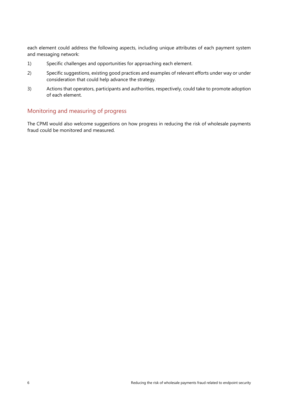each element could address the following aspects, including unique attributes of each payment system and messaging network:

- 1) Specific challenges and opportunities for approaching each element.
- 2) Specific suggestions, existing good practices and examples of relevant efforts under way or under consideration that could help advance the strategy.
- 3) Actions that operators, participants and authorities, respectively, could take to promote adoption of each element.

#### <span id="page-9-0"></span>Monitoring and measuring of progress

The CPMI would also welcome suggestions on how progress in reducing the risk of wholesale payments fraud could be monitored and measured.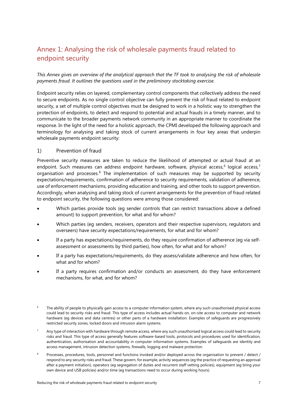# <span id="page-10-0"></span>Annex 1: Analysing the risk of wholesale payments fraud related to endpoint security

*This Annex gives an overview of the analytical approach that the TF took to analysing the risk of wholesale payments fraud. It outlines the questions used in the preliminary stocktaking exercise.*

Endpoint security relies on layered, complementary control components that collectively address the need to secure endpoints. As no single control objective can fully prevent the risk of fraud related to endpoint security, a set of multiple control objectives must be designed to work in a holistic way to strengthen the protection of endpoints, to detect and respond to potential and actual frauds in a timely manner, and to communicate to the broader payments network community in an appropriate manner to coordinate the response. In the light of the need for a holistic approach, the CPMI developed the following approach and terminology for analysing and taking stock of current arrangements in four key areas that underpin wholesale payments endpoint security:

#### 1) Prevention of fraud

Preventive security measures are taken to reduce the likelihood of attempted or actual fraud at an endpoint. Such measures can address endpoint hardware, software, physical access,<sup>[6](#page-10-1)</sup> logical access,<sup>[7](#page-10-2)</sup> organisation and processes.<sup>[8](#page-10-3)</sup> The implementation of such measures may be supported by security expectations/requirements, confirmation of adherence to security requirements, validation of adherence, use of enforcement mechanisms, providing education and training, and other tools to support prevention. Accordingly, when analysing and taking stock of current arrangements for the prevention of fraud related to endpoint security, the following questions were among those considered:

- Which parties provide tools (eg sender controls that can restrict transactions above a defined amount) to support prevention, for what and for whom?
- Which parties (eg senders, receivers, operators and their respective supervisors, regulators and overseers) have security expectations/requirements, for what and for whom?
- If a party has expectations/requirements, do they require confirmation of adherence (eg via selfassessment or assessments by third parties), how often, for what and for whom?
- If a party has expectations/requirements, do they assess/validate adherence and how often, for what and for whom?
- If a party requires confirmation and/or conducts an assessment, do they have enforcement mechanisms, for what, and for whom?
- <span id="page-10-1"></span>The ability of people to physically gain access to a computer information system, where any such unauthorised physical access could lead to security risks and fraud. This type of access includes actual hands-on, on-site access to computer and network hardware (eg devices and data centres) or other parts of a hardware installation. Examples of safeguards are progressively restricted security zones, locked doors and intrusion alarm systems.
- <span id="page-10-2"></span>Any type of interaction with hardware through remote access, where any such unauthorised logical access could lead to security risks and fraud. This type of access generally features software-based tools, protocols and procedures used for identification, authentication, authorisation and accountability in computer information systems. Examples of safeguards are identity and access management, intrusion detection systems, firewalls, logging and malware protection.
- <span id="page-10-3"></span><sup>8</sup> Processes, procedures, tools, personnel and functions invoked and/or deployed across the organisation to prevent / detect / respond to any security risks and fraud. These govern, for example, activity sequences (eg the practice of requesting an approval after a payment initiation), operators (eg segregation of duties and recurrent staff vetting policies), equipment (eg bring your own device and USB policies) and/or time (eg transactions need to occur during working hours).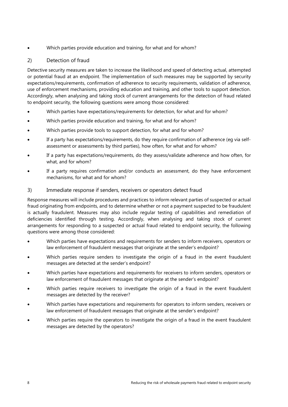Which parties provide education and training, for what and for whom?

### 2) Detection of fraud

Detective security measures are taken to increase the likelihood and speed of detecting actual, attempted or potential fraud at an endpoint. The implementation of such measures may be supported by security expectations/requirements, confirmation of adherence to security requirements, validation of adherence, use of enforcement mechanisms, providing education and training, and other tools to support detection. Accordingly, when analysing and taking stock of current arrangements for the detection of fraud related to endpoint security, the following questions were among those considered:

- Which parties have expectations/requirements for detection, for what and for whom?
- Which parties provide education and training, for what and for whom?
- Which parties provide tools to support detection, for what and for whom?
- If a party has expectations/requirements, do they require confirmation of adherence (eg via selfassessment or assessments by third parties), how often, for what and for whom?
- If a party has expectations/requirements, do they assess/validate adherence and how often, for what, and for whom?
- If a party requires confirmation and/or conducts an assessment, do they have enforcement mechanisms, for what and for whom?

#### 3) Immediate response if senders, receivers or operators detect fraud

Response measures will include procedures and practices to inform relevant parties of suspected or actual fraud originating from endpoints, and to determine whether or not a payment suspected to be fraudulent is actually fraudulent. Measures may also include regular testing of capabilities and remediation of deficiencies identified through testing. Accordingly, when analysing and taking stock of current arrangements for responding to a suspected or actual fraud related to endpoint security, the following questions were among those considered:

- Which parties have expectations and requirements for senders to inform receivers, operators or law enforcement of fraudulent messages that originate at the sender's endpoint?
- Which parties require senders to investigate the origin of a fraud in the event fraudulent messages are detected at the sender's endpoint?
- Which parties have expectations and requirements for receivers to inform senders, operators or law enforcement of fraudulent messages that originate at the sender's endpoint?
- Which parties require receivers to investigate the origin of a fraud in the event fraudulent messages are detected by the receiver?
- Which parties have expectations and requirements for operators to inform senders, receivers or law enforcement of fraudulent messages that originate at the sender's endpoint?
- Which parties require the operators to investigate the origin of a fraud in the event fraudulent messages are detected by the operators?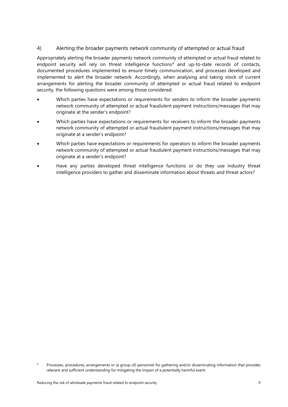#### 4) Alerting the broader payments network community of attempted or actual fraud

Appropriately alerting the broader payments network community of attempted or actual fraud related to endpoint security will rely on threat intelligence functions<sup>[9](#page-12-0)</sup> and up-to-date records of contacts, documented procedures implemented to ensure timely communication, and processes developed and implemented to alert the broader network. Accordingly, when analysing and taking stock of current arrangements for alerting the broader community of attempted or actual fraud related to endpoint security, the following questions were among those considered:

- Which parties have expectations or requirements for senders to inform the broader payments network community of attempted or actual fraudulent payment instructions/messages that may originate at the sender's endpoint?
- Which parties have expectations or requirements for receivers to inform the broader payments network community of attempted or actual fraudulent payment instructions/messages that may originate at a sender's endpoint?
- Which parties have expectations or requirements for operators to inform the broader payments network community of attempted or actual fraudulent payment instructions/messages that may originate at a sender's endpoint?
- Have any parties developed threat intelligence functions or do they use industry threat intelligence providers to gather and disseminate information about threats and threat actors?

<span id="page-12-0"></span><sup>&</sup>lt;sup>9</sup> Processes, procedures, arrangements or (a group of) personnel for gathering and/or disseminating information that provides relevant and sufficient understanding for mitigating the impact of a potentially harmful event.